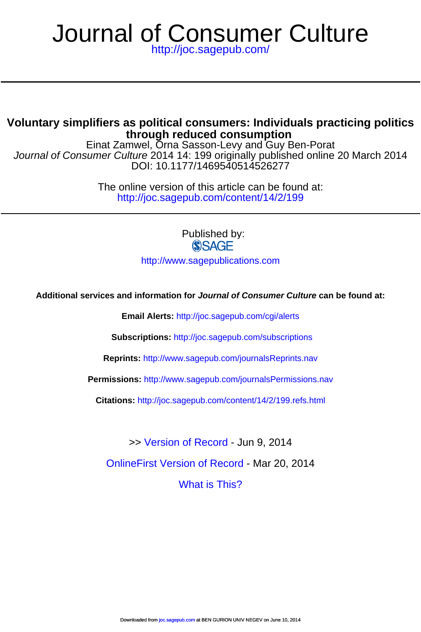# Journal of Consumer Culture

<http://joc.sagepub.com/>

# **through reduced consumption Voluntary simplifiers as political consumers: Individuals practicing politics**

DOI: 10.1177/1469540514526277 Journal of Consumer Culture 2014 14: 199 originally published online 20 March 2014 Einat Zamwel, Orna Sasson-Levy and Guy Ben-Porat

> <http://joc.sagepub.com/content/14/2/199> The online version of this article can be found at:

> > Published by: **SSAGE**

<http://www.sagepublications.com>

**Additional services and information for Journal of Consumer Culture can be found at:**

**Email Alerts:** <http://joc.sagepub.com/cgi/alerts>

**Subscriptions:** <http://joc.sagepub.com/subscriptions>

**Reprints:** <http://www.sagepub.com/journalsReprints.nav>

**Permissions:** <http://www.sagepub.com/journalsPermissions.nav>

**Citations:** <http://joc.sagepub.com/content/14/2/199.refs.html>

>> [Version of Record -](http://joc.sagepub.com/content/14/2/199.full.pdf) Jun 9, 2014

[OnlineFirst Version of Record -](http://joc.sagepub.com/content/early/2014/03/19/1469540514526277.full.pdf) Mar 20, 2014

[What is This?](http://online.sagepub.com/site/sphelp/vorhelp.xhtml)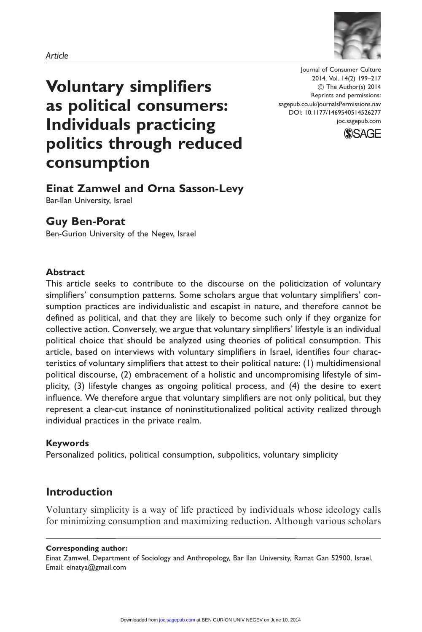

#### Article

Voluntary simplifiers as political consumers: Individuals practicing politics through reduced consumption

Journal of Consumer Culture 2014, Vol. 14(2) 199–217  $\circ$  The Author(s) 2014 Reprints and permissions: sagepub.co.uk/journalsPermissions.nav DOI: 10.1177/1469540514526277 joc.sagepub.com



## Einat Zamwel and Orna Sasson-Levy

Bar-Ilan University, Israel

# Guy Ben-Porat

Ben-Gurion University of the Negev, Israel

## Abstract

This article seeks to contribute to the discourse on the politicization of voluntary simplifiers' consumption patterns. Some scholars argue that voluntary simplifiers' consumption practices are individualistic and escapist in nature, and therefore cannot be defined as political, and that they are likely to become such only if they organize for collective action. Conversely, we argue that voluntary simplifiers' lifestyle is an individual political choice that should be analyzed using theories of political consumption. This article, based on interviews with voluntary simplifiers in Israel, identifies four characteristics of voluntary simplifiers that attest to their political nature: (1) multidimensional political discourse, (2) embracement of a holistic and uncompromising lifestyle of simplicity, (3) lifestyle changes as ongoing political process, and (4) the desire to exert influence. We therefore argue that voluntary simplifiers are not only political, but they represent a clear-cut instance of noninstitutionalized political activity realized through individual practices in the private realm.

## Keywords

Personalized politics, political consumption, subpolitics, voluntary simplicity

# Introduction

Voluntary simplicity is a way of life practiced by individuals whose ideology calls for minimizing consumption and maximizing reduction. Although various scholars

#### Corresponding author:

Einat Zamwel, Department of Sociology and Anthropology, Bar Ilan University, Ramat Gan 52900, Israel. Email: einatya@gmail.com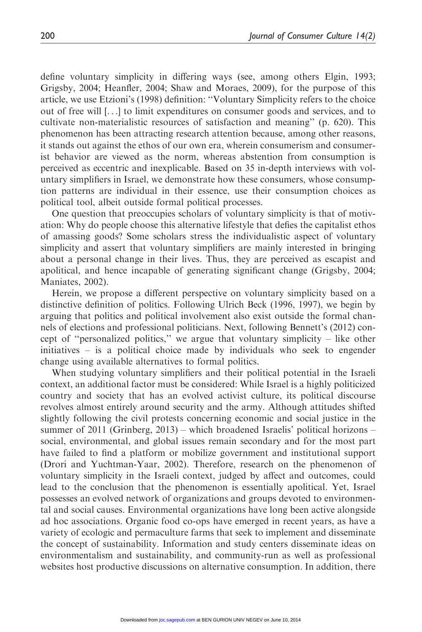define voluntary simplicity in differing ways (see, among others Elgin, 1993; Grigsby, 2004; Heanfler, 2004; Shaw and Moraes, 2009), for the purpose of this article, we use Etzioni's (1998) definition: ''Voluntary Simplicity refers to the choice out of free will [...] to limit expenditures on consumer goods and services, and to cultivate non-materialistic resources of satisfaction and meaning'' (p. 620). This phenomenon has been attracting research attention because, among other reasons, it stands out against the ethos of our own era, wherein consumerism and consumerist behavior are viewed as the norm, whereas abstention from consumption is perceived as eccentric and inexplicable. Based on 35 in-depth interviews with voluntary simplifiers in Israel, we demonstrate how these consumers, whose consumption patterns are individual in their essence, use their consumption choices as political tool, albeit outside formal political processes.

One question that preoccupies scholars of voluntary simplicity is that of motivation: Why do people choose this alternative lifestyle that defies the capitalist ethos of amassing goods? Some scholars stress the individualistic aspect of voluntary simplicity and assert that voluntary simplifiers are mainly interested in bringing about a personal change in their lives. Thus, they are perceived as escapist and apolitical, and hence incapable of generating significant change (Grigsby, 2004; Maniates, 2002).

Herein, we propose a different perspective on voluntary simplicity based on a distinctive definition of politics. Following Ulrich Beck (1996, 1997), we begin by arguing that politics and political involvement also exist outside the formal channels of elections and professional politicians. Next, following Bennett's (2012) concept of ''personalized politics,'' we argue that voluntary simplicity – like other initiatives – is a political choice made by individuals who seek to engender change using available alternatives to formal politics.

When studying voluntary simplifiers and their political potential in the Israeli context, an additional factor must be considered: While Israel is a highly politicized country and society that has an evolved activist culture, its political discourse revolves almost entirely around security and the army. Although attitudes shifted slightly following the civil protests concerning economic and social justice in the summer of 2011 (Grinberg, 2013) – which broadened Israelis' political horizons – social, environmental, and global issues remain secondary and for the most part have failed to find a platform or mobilize government and institutional support (Drori and Yuchtman-Yaar, 2002). Therefore, research on the phenomenon of voluntary simplicity in the Israeli context, judged by affect and outcomes, could lead to the conclusion that the phenomenon is essentially apolitical. Yet, Israel possesses an evolved network of organizations and groups devoted to environmental and social causes. Environmental organizations have long been active alongside ad hoc associations. Organic food co-ops have emerged in recent years, as have a variety of ecologic and permaculture farms that seek to implement and disseminate the concept of sustainability. Information and study centers disseminate ideas on environmentalism and sustainability, and community-run as well as professional websites host productive discussions on alternative consumption. In addition, there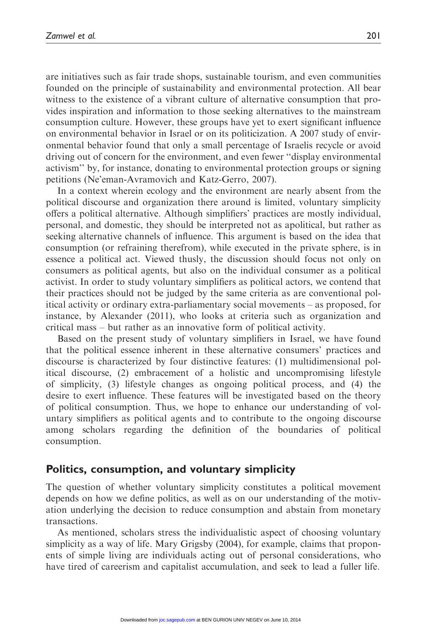are initiatives such as fair trade shops, sustainable tourism, and even communities founded on the principle of sustainability and environmental protection. All bear witness to the existence of a vibrant culture of alternative consumption that provides inspiration and information to those seeking alternatives to the mainstream consumption culture. However, these groups have yet to exert significant influence on environmental behavior in Israel or on its politicization. A 2007 study of environmental behavior found that only a small percentage of Israelis recycle or avoid driving out of concern for the environment, and even fewer ''display environmental activism'' by, for instance, donating to environmental protection groups or signing petitions (Ne'eman-Avramovich and Katz-Gerro, 2007).

In a context wherein ecology and the environment are nearly absent from the political discourse and organization there around is limited, voluntary simplicity offers a political alternative. Although simplifiers' practices are mostly individual, personal, and domestic, they should be interpreted not as apolitical, but rather as seeking alternative channels of influence. This argument is based on the idea that consumption (or refraining therefrom), while executed in the private sphere, is in essence a political act. Viewed thusly, the discussion should focus not only on consumers as political agents, but also on the individual consumer as a political activist. In order to study voluntary simplifiers as political actors, we contend that their practices should not be judged by the same criteria as are conventional political activity or ordinary extra-parliamentary social movements – as proposed, for instance, by Alexander (2011), who looks at criteria such as organization and critical mass – but rather as an innovative form of political activity.

Based on the present study of voluntary simplifiers in Israel, we have found that the political essence inherent in these alternative consumers' practices and discourse is characterized by four distinctive features: (1) multidimensional political discourse, (2) embracement of a holistic and uncompromising lifestyle of simplicity, (3) lifestyle changes as ongoing political process, and (4) the desire to exert influence. These features will be investigated based on the theory of political consumption. Thus, we hope to enhance our understanding of voluntary simplifiers as political agents and to contribute to the ongoing discourse among scholars regarding the definition of the boundaries of political consumption.

## Politics, consumption, and voluntary simplicity

The question of whether voluntary simplicity constitutes a political movement depends on how we define politics, as well as on our understanding of the motivation underlying the decision to reduce consumption and abstain from monetary transactions.

As mentioned, scholars stress the individualistic aspect of choosing voluntary simplicity as a way of life. Mary Grigsby (2004), for example, claims that proponents of simple living are individuals acting out of personal considerations, who have tired of careerism and capitalist accumulation, and seek to lead a fuller life.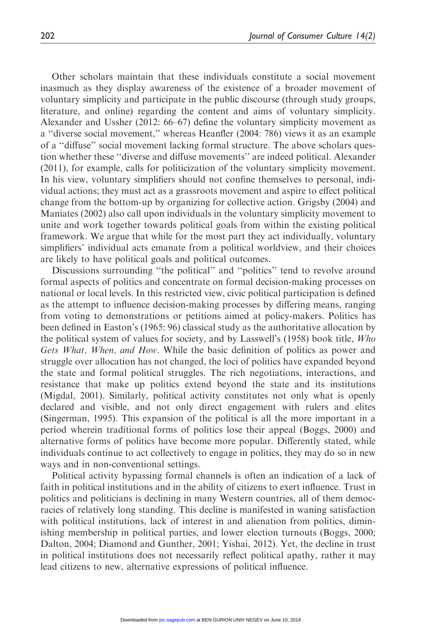Other scholars maintain that these individuals constitute a social movement inasmuch as they display awareness of the existence of a broader movement of voluntary simplicity and participate in the public discourse (through study groups, literature, and online) regarding the content and aims of voluntary simplicity. Alexander and Ussher (2012: 66–67) define the voluntary simplicity movement as a ''diverse social movement,'' whereas Heanfler (2004: 786) views it as an example of a ''diffuse'' social movement lacking formal structure. The above scholars question whether these ''diverse and diffuse movements'' are indeed political. Alexander (2011), for example, calls for politicization of the voluntary simplicity movement. In his view, voluntary simplifiers should not confine themselves to personal, individual actions; they must act as a grassroots movement and aspire to effect political change from the bottom-up by organizing for collective action. Grigsby (2004) and Maniates (2002) also call upon individuals in the voluntary simplicity movement to unite and work together towards political goals from within the existing political framework. We argue that while for the most part they act individually, voluntary simplifiers' individual acts emanate from a political worldview, and their choices are likely to have political goals and political outcomes.

Discussions surrounding ''the political'' and ''politics'' tend to revolve around formal aspects of politics and concentrate on formal decision-making processes on national or local levels. In this restricted view, civic political participation is defined as the attempt to influence decision-making processes by differing means, ranging from voting to demonstrations or petitions aimed at policy-makers. Politics has been defined in Easton's (1965: 96) classical study as the authoritative allocation by the political system of values for society, and by Lasswell's (1958) book title, Who Gets What, When, and How. While the basic definition of politics as power and struggle over allocation has not changed, the loci of politics have expanded beyond the state and formal political struggles. The rich negotiations, interactions, and resistance that make up politics extend beyond the state and its institutions (Migdal, 2001). Similarly, political activity constitutes not only what is openly declared and visible, and not only direct engagement with rulers and elites (Singerman, 1995). This expansion of the political is all the more important in a period wherein traditional forms of politics lose their appeal (Boggs, 2000) and alternative forms of politics have become more popular. Differently stated, while individuals continue to act collectively to engage in politics, they may do so in new ways and in non-conventional settings.

Political activity bypassing formal channels is often an indication of a lack of faith in political institutions and in the ability of citizens to exert influence. Trust in politics and politicians is declining in many Western countries, all of them democracies of relatively long standing. This decline is manifested in waning satisfaction with political institutions, lack of interest in and alienation from politics, diminishing membership in political parties, and lower election turnouts (Boggs, 2000; Dalton, 2004; Diamond and Gunther, 2001; Yishai, 2012). Yet, the decline in trust in political institutions does not necessarily reflect political apathy, rather it may lead citizens to new, alternative expressions of political influence.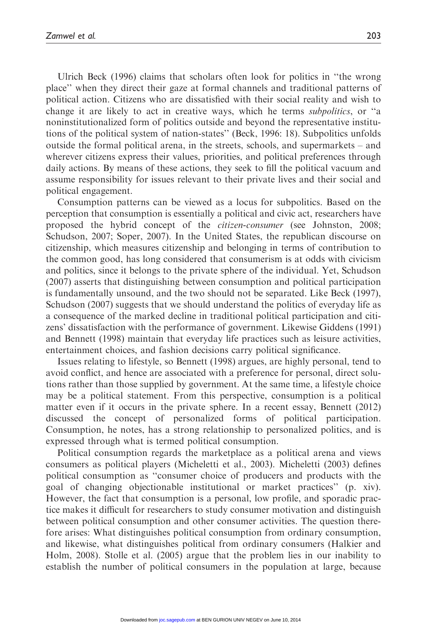Ulrich Beck (1996) claims that scholars often look for politics in ''the wrong place'' when they direct their gaze at formal channels and traditional patterns of political action. Citizens who are dissatisfied with their social reality and wish to change it are likely to act in creative ways, which he terms subpolitics, or ''a noninstitutionalized form of politics outside and beyond the representative institutions of the political system of nation-states'' (Beck, 1996: 18). Subpolitics unfolds outside the formal political arena, in the streets, schools, and supermarkets – and wherever citizens express their values, priorities, and political preferences through daily actions. By means of these actions, they seek to fill the political vacuum and assume responsibility for issues relevant to their private lives and their social and political engagement.

Consumption patterns can be viewed as a locus for subpolitics. Based on the perception that consumption is essentially a political and civic act, researchers have proposed the hybrid concept of the citizen-consumer (see Johnston, 2008; Schudson, 2007; Soper, 2007). In the United States, the republican discourse on citizenship, which measures citizenship and belonging in terms of contribution to the common good, has long considered that consumerism is at odds with civicism and politics, since it belongs to the private sphere of the individual. Yet, Schudson (2007) asserts that distinguishing between consumption and political participation is fundamentally unsound, and the two should not be separated. Like Beck (1997), Schudson (2007) suggests that we should understand the politics of everyday life as a consequence of the marked decline in traditional political participation and citizens' dissatisfaction with the performance of government. Likewise Giddens (1991) and Bennett (1998) maintain that everyday life practices such as leisure activities, entertainment choices, and fashion decisions carry political significance.

Issues relating to lifestyle, so Bennett (1998) argues, are highly personal, tend to avoid conflict, and hence are associated with a preference for personal, direct solutions rather than those supplied by government. At the same time, a lifestyle choice may be a political statement. From this perspective, consumption is a political matter even if it occurs in the private sphere. In a recent essay, Bennett (2012) discussed the concept of personalized forms of political participation. Consumption, he notes, has a strong relationship to personalized politics, and is expressed through what is termed political consumption.

Political consumption regards the marketplace as a political arena and views consumers as political players (Micheletti et al., 2003). Micheletti (2003) defines political consumption as ''consumer choice of producers and products with the goal of changing objectionable institutional or market practices'' (p. xiv). However, the fact that consumption is a personal, low profile, and sporadic practice makes it difficult for researchers to study consumer motivation and distinguish between political consumption and other consumer activities. The question therefore arises: What distinguishes political consumption from ordinary consumption, and likewise, what distinguishes political from ordinary consumers (Halkier and Holm, 2008). Stolle et al. (2005) argue that the problem lies in our inability to establish the number of political consumers in the population at large, because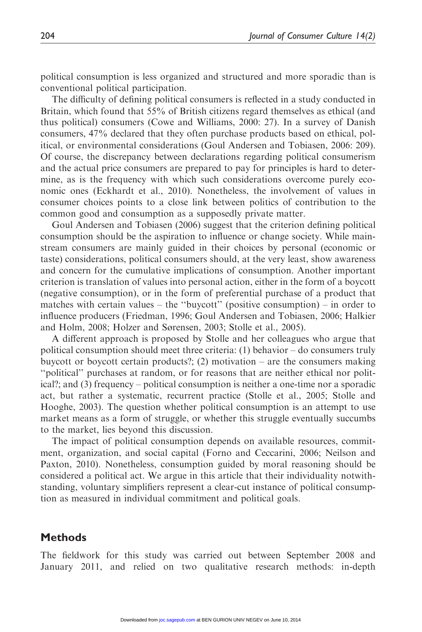political consumption is less organized and structured and more sporadic than is conventional political participation.

The difficulty of defining political consumers is reflected in a study conducted in Britain, which found that 55% of British citizens regard themselves as ethical (and thus political) consumers (Cowe and Williams, 2000: 27). In a survey of Danish consumers, 47% declared that they often purchase products based on ethical, political, or environmental considerations (Goul Andersen and Tobiasen, 2006: 209). Of course, the discrepancy between declarations regarding political consumerism and the actual price consumers are prepared to pay for principles is hard to determine, as is the frequency with which such considerations overcome purely economic ones (Eckhardt et al., 2010). Nonetheless, the involvement of values in consumer choices points to a close link between politics of contribution to the common good and consumption as a supposedly private matter.

Goul Andersen and Tobiasen (2006) suggest that the criterion defining political consumption should be the aspiration to influence or change society. While mainstream consumers are mainly guided in their choices by personal (economic or taste) considerations, political consumers should, at the very least, show awareness and concern for the cumulative implications of consumption. Another important criterion is translation of values into personal action, either in the form of a boycott (negative consumption), or in the form of preferential purchase of a product that matches with certain values – the ''buycott'' (positive consumption) – in order to influence producers (Friedman, 1996; Goul Andersen and Tobiasen, 2006; Halkier and Holm, 2008; Holzer and Sørensen, 2003; Stolle et al., 2005).

A different approach is proposed by Stolle and her colleagues who argue that political consumption should meet three criteria: (1) behavior – do consumers truly buycott or boycott certain products?; (2) motivation – are the consumers making ''political'' purchases at random, or for reasons that are neither ethical nor political?; and (3) frequency – political consumption is neither a one-time nor a sporadic act, but rather a systematic, recurrent practice (Stolle et al., 2005; Stolle and Hooghe, 2003). The question whether political consumption is an attempt to use market means as a form of struggle, or whether this struggle eventually succumbs to the market, lies beyond this discussion.

The impact of political consumption depends on available resources, commitment, organization, and social capital (Forno and Ceccarini, 2006; Neilson and Paxton, 2010). Nonetheless, consumption guided by moral reasoning should be considered a political act. We argue in this article that their individuality notwithstanding, voluntary simplifiers represent a clear-cut instance of political consumption as measured in individual commitment and political goals.

## Methods

The fieldwork for this study was carried out between September 2008 and January 2011, and relied on two qualitative research methods: in-depth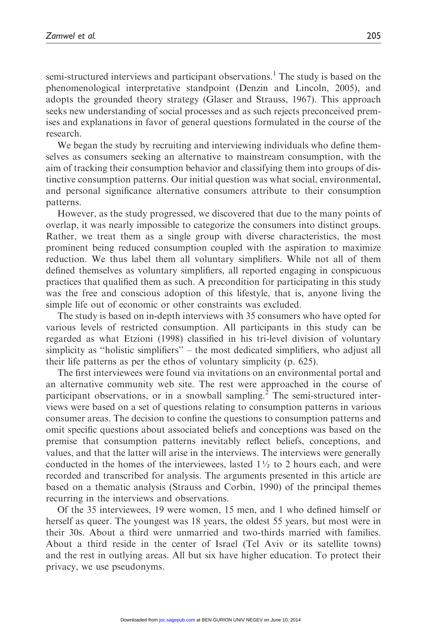semi-structured interviews and participant observations.<sup>1</sup> The study is based on the phenomenological interpretative standpoint (Denzin and Lincoln, 2005), and adopts the grounded theory strategy (Glaser and Strauss, 1967). This approach seeks new understanding of social processes and as such rejects preconceived premises and explanations in favor of general questions formulated in the course of the research.

We began the study by recruiting and interviewing individuals who define themselves as consumers seeking an alternative to mainstream consumption, with the aim of tracking their consumption behavior and classifying them into groups of distinctive consumption patterns. Our initial question was what social, environmental, and personal significance alternative consumers attribute to their consumption patterns.

However, as the study progressed, we discovered that due to the many points of overlap, it was nearly impossible to categorize the consumers into distinct groups. Rather, we treat them as a single group with diverse characteristics, the most prominent being reduced consumption coupled with the aspiration to maximize reduction. We thus label them all voluntary simplifiers. While not all of them defined themselves as voluntary simplifiers, all reported engaging in conspicuous practices that qualified them as such. A precondition for participating in this study was the free and conscious adoption of this lifestyle, that is, anyone living the simple life out of economic or other constraints was excluded.

The study is based on in-depth interviews with 35 consumers who have opted for various levels of restricted consumption. All participants in this study can be regarded as what Etzioni (1998) classified in his tri-level division of voluntary simplicity as ''holistic simplifiers'' – the most dedicated simplifiers, who adjust all their life patterns as per the ethos of voluntary simplicity (p. 625).

The first interviewees were found via invitations on an environmental portal and an alternative community web site. The rest were approached in the course of participant observations, or in a snowball sampling.<sup>2</sup> The semi-structured interviews were based on a set of questions relating to consumption patterns in various consumer areas. The decision to confine the questions to consumption patterns and omit specific questions about associated beliefs and conceptions was based on the premise that consumption patterns inevitably reflect beliefs, conceptions, and values, and that the latter will arise in the interviews. The interviews were generally conducted in the homes of the interviewees, lasted  $1\frac{1}{2}$  to 2 hours each, and were recorded and transcribed for analysis. The arguments presented in this article are based on a thematic analysis (Strauss and Corbin, 1990) of the principal themes recurring in the interviews and observations.

Of the 35 interviewees, 19 were women, 15 men, and 1 who defined himself or herself as queer. The youngest was 18 years, the oldest 55 years, but most were in their 30s. About a third were unmarried and two-thirds married with families. About a third reside in the center of Israel (Tel Aviv or its satellite towns) and the rest in outlying areas. All but six have higher education. To protect their privacy, we use pseudonyms.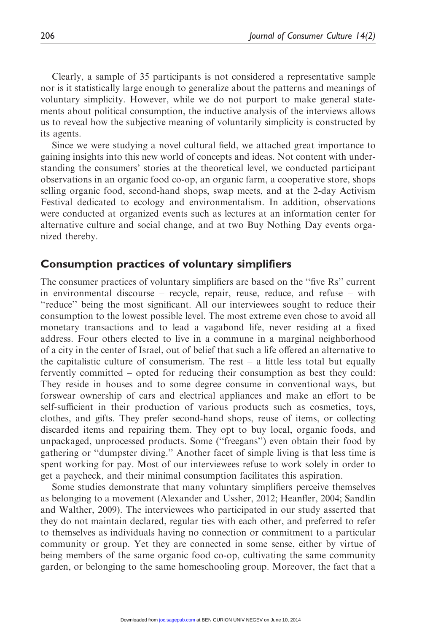Clearly, a sample of 35 participants is not considered a representative sample nor is it statistically large enough to generalize about the patterns and meanings of voluntary simplicity. However, while we do not purport to make general statements about political consumption, the inductive analysis of the interviews allows us to reveal how the subjective meaning of voluntarily simplicity is constructed by its agents.

Since we were studying a novel cultural field, we attached great importance to gaining insights into this new world of concepts and ideas. Not content with understanding the consumers' stories at the theoretical level, we conducted participant observations in an organic food co-op, an organic farm, a cooperative store, shops selling organic food, second-hand shops, swap meets, and at the 2-day Activism Festival dedicated to ecology and environmentalism. In addition, observations were conducted at organized events such as lectures at an information center for alternative culture and social change, and at two Buy Nothing Day events organized thereby.

## Consumption practices of voluntary simplifiers

The consumer practices of voluntary simplifiers are based on the ''five Rs'' current in environmental discourse – recycle, repair, reuse, reduce, and refuse – with ''reduce'' being the most significant. All our interviewees sought to reduce their consumption to the lowest possible level. The most extreme even chose to avoid all monetary transactions and to lead a vagabond life, never residing at a fixed address. Four others elected to live in a commune in a marginal neighborhood of a city in the center of Israel, out of belief that such a life offered an alternative to the capitalistic culture of consumerism. The rest  $-$  a little less total but equally fervently committed – opted for reducing their consumption as best they could: They reside in houses and to some degree consume in conventional ways, but forswear ownership of cars and electrical appliances and make an effort to be self-sufficient in their production of various products such as cosmetics, toys, clothes, and gifts. They prefer second-hand shops, reuse of items, or collecting discarded items and repairing them. They opt to buy local, organic foods, and unpackaged, unprocessed products. Some (''freegans'') even obtain their food by gathering or ''dumpster diving.'' Another facet of simple living is that less time is spent working for pay. Most of our interviewees refuse to work solely in order to get a paycheck, and their minimal consumption facilitates this aspiration.

Some studies demonstrate that many voluntary simplifiers perceive themselves as belonging to a movement (Alexander and Ussher, 2012; Heanfler, 2004; Sandlin and Walther, 2009). The interviewees who participated in our study asserted that they do not maintain declared, regular ties with each other, and preferred to refer to themselves as individuals having no connection or commitment to a particular community or group. Yet they are connected in some sense, either by virtue of being members of the same organic food co-op, cultivating the same community garden, or belonging to the same homeschooling group. Moreover, the fact that a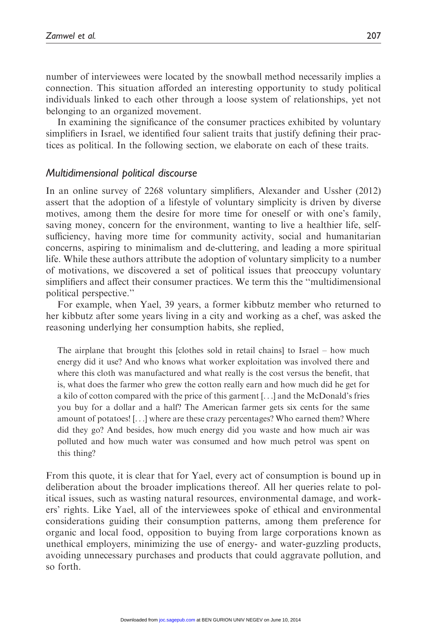number of interviewees were located by the snowball method necessarily implies a connection. This situation afforded an interesting opportunity to study political individuals linked to each other through a loose system of relationships, yet not belonging to an organized movement.

In examining the significance of the consumer practices exhibited by voluntary simplifiers in Israel, we identified four salient traits that justify defining their practices as political. In the following section, we elaborate on each of these traits.

### Multidimensional political discourse

In an online survey of 2268 voluntary simplifiers, Alexander and Ussher (2012) assert that the adoption of a lifestyle of voluntary simplicity is driven by diverse motives, among them the desire for more time for oneself or with one's family, saving money, concern for the environment, wanting to live a healthier life, selfsufficiency, having more time for community activity, social and humanitarian concerns, aspiring to minimalism and de-cluttering, and leading a more spiritual life. While these authors attribute the adoption of voluntary simplicity to a number of motivations, we discovered a set of political issues that preoccupy voluntary simplifiers and affect their consumer practices. We term this the ''multidimensional political perspective.''

For example, when Yael, 39 years, a former kibbutz member who returned to her kibbutz after some years living in a city and working as a chef, was asked the reasoning underlying her consumption habits, she replied,

The airplane that brought this [clothes sold in retail chains] to Israel – how much energy did it use? And who knows what worker exploitation was involved there and where this cloth was manufactured and what really is the cost versus the benefit, that is, what does the farmer who grew the cotton really earn and how much did he get for a kilo of cotton compared with the price of this garment [...] and the McDonald's fries you buy for a dollar and a half? The American farmer gets six cents for the same amount of potatoes! [...] where are these crazy percentages? Who earned them? Where did they go? And besides, how much energy did you waste and how much air was polluted and how much water was consumed and how much petrol was spent on this thing?

From this quote, it is clear that for Yael, every act of consumption is bound up in deliberation about the broader implications thereof. All her queries relate to political issues, such as wasting natural resources, environmental damage, and workers' rights. Like Yael, all of the interviewees spoke of ethical and environmental considerations guiding their consumption patterns, among them preference for organic and local food, opposition to buying from large corporations known as unethical employers, minimizing the use of energy- and water-guzzling products, avoiding unnecessary purchases and products that could aggravate pollution, and so forth.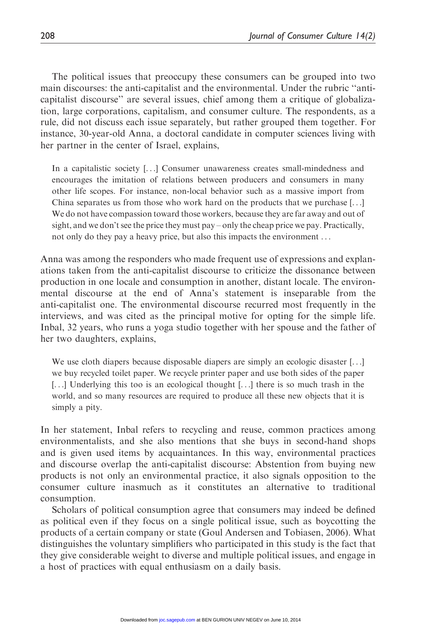The political issues that preoccupy these consumers can be grouped into two main discourses: the anti-capitalist and the environmental. Under the rubric ''anticapitalist discourse'' are several issues, chief among them a critique of globalization, large corporations, capitalism, and consumer culture. The respondents, as a rule, did not discuss each issue separately, but rather grouped them together. For instance, 30-year-old Anna, a doctoral candidate in computer sciences living with her partner in the center of Israel, explains,

In a capitalistic society [...] Consumer unawareness creates small-mindedness and encourages the imitation of relations between producers and consumers in many other life scopes. For instance, non-local behavior such as a massive import from China separates us from those who work hard on the products that we purchase [...] We do not have compassion toward those workers, because they are far away and out of sight, and we don't see the price they must pay – only the cheap price we pay. Practically, not only do they pay a heavy price, but also this impacts the environment ...

Anna was among the responders who made frequent use of expressions and explanations taken from the anti-capitalist discourse to criticize the dissonance between production in one locale and consumption in another, distant locale. The environmental discourse at the end of Anna's statement is inseparable from the anti-capitalist one. The environmental discourse recurred most frequently in the interviews, and was cited as the principal motive for opting for the simple life. Inbal, 32 years, who runs a yoga studio together with her spouse and the father of her two daughters, explains,

We use cloth diapers because disposable diapers are simply an ecologic disaster [...] we buy recycled toilet paper. We recycle printer paper and use both sides of the paper [...] Underlying this too is an ecological thought [...] there is so much trash in the world, and so many resources are required to produce all these new objects that it is simply a pity.

In her statement, Inbal refers to recycling and reuse, common practices among environmentalists, and she also mentions that she buys in second-hand shops and is given used items by acquaintances. In this way, environmental practices and discourse overlap the anti-capitalist discourse: Abstention from buying new products is not only an environmental practice, it also signals opposition to the consumer culture inasmuch as it constitutes an alternative to traditional consumption.

Scholars of political consumption agree that consumers may indeed be defined as political even if they focus on a single political issue, such as boycotting the products of a certain company or state (Goul Andersen and Tobiasen, 2006). What distinguishes the voluntary simplifiers who participated in this study is the fact that they give considerable weight to diverse and multiple political issues, and engage in a host of practices with equal enthusiasm on a daily basis.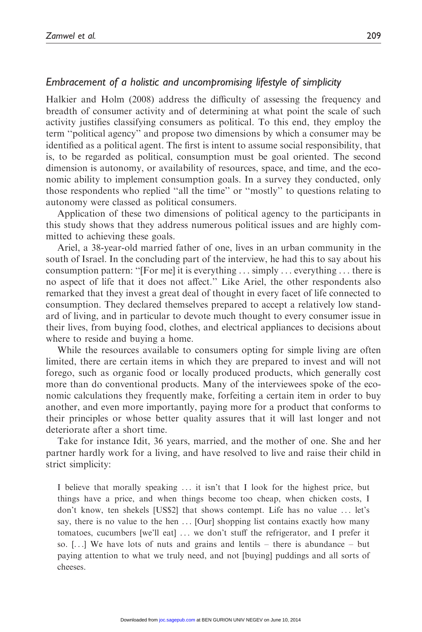## Embracement of a holistic and uncompromising lifestyle of simplicity

Halkier and Holm (2008) address the difficulty of assessing the frequency and breadth of consumer activity and of determining at what point the scale of such activity justifies classifying consumers as political. To this end, they employ the term ''political agency'' and propose two dimensions by which a consumer may be identified as a political agent. The first is intent to assume social responsibility, that is, to be regarded as political, consumption must be goal oriented. The second dimension is autonomy, or availability of resources, space, and time, and the economic ability to implement consumption goals. In a survey they conducted, only those respondents who replied ''all the time'' or ''mostly'' to questions relating to autonomy were classed as political consumers.

Application of these two dimensions of political agency to the participants in this study shows that they address numerous political issues and are highly committed to achieving these goals.

Ariel, a 38-year-old married father of one, lives in an urban community in the south of Israel. In the concluding part of the interview, he had this to say about his consumption pattern: ''[For me] it is everything ... simply ... everything ... there is no aspect of life that it does not affect.'' Like Ariel, the other respondents also remarked that they invest a great deal of thought in every facet of life connected to consumption. They declared themselves prepared to accept a relatively low standard of living, and in particular to devote much thought to every consumer issue in their lives, from buying food, clothes, and electrical appliances to decisions about where to reside and buying a home.

While the resources available to consumers opting for simple living are often limited, there are certain items in which they are prepared to invest and will not forego, such as organic food or locally produced products, which generally cost more than do conventional products. Many of the interviewees spoke of the economic calculations they frequently make, forfeiting a certain item in order to buy another, and even more importantly, paying more for a product that conforms to their principles or whose better quality assures that it will last longer and not deteriorate after a short time.

Take for instance Idit, 36 years, married, and the mother of one. She and her partner hardly work for a living, and have resolved to live and raise their child in strict simplicity:

I believe that morally speaking ... it isn't that I look for the highest price, but things have a price, and when things become too cheap, when chicken costs, I don't know, ten shekels [US\$2] that shows contempt. Life has no value ... let's say, there is no value to the hen ... [Our] shopping list contains exactly how many tomatoes, cucumbers [we'll eat] ... we don't stuff the refrigerator, and I prefer it so.  $[...]$  We have lots of nuts and grains and lentils – there is abundance – but paying attention to what we truly need, and not [buying] puddings and all sorts of cheeses.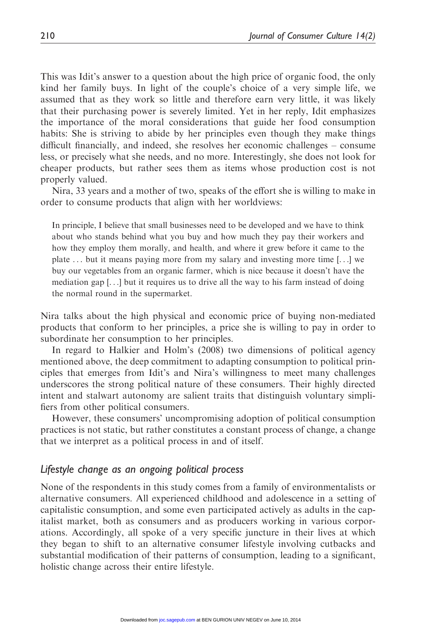This was Idit's answer to a question about the high price of organic food, the only kind her family buys. In light of the couple's choice of a very simple life, we assumed that as they work so little and therefore earn very little, it was likely that their purchasing power is severely limited. Yet in her reply, Idit emphasizes the importance of the moral considerations that guide her food consumption habits: She is striving to abide by her principles even though they make things difficult financially, and indeed, she resolves her economic challenges – consume less, or precisely what she needs, and no more. Interestingly, she does not look for cheaper products, but rather sees them as items whose production cost is not properly valued.

Nira, 33 years and a mother of two, speaks of the effort she is willing to make in order to consume products that align with her worldviews:

In principle, I believe that small businesses need to be developed and we have to think about who stands behind what you buy and how much they pay their workers and how they employ them morally, and health, and where it grew before it came to the plate ... but it means paying more from my salary and investing more time [...] we buy our vegetables from an organic farmer, which is nice because it doesn't have the mediation gap [...] but it requires us to drive all the way to his farm instead of doing the normal round in the supermarket.

Nira talks about the high physical and economic price of buying non-mediated products that conform to her principles, a price she is willing to pay in order to subordinate her consumption to her principles.

In regard to Halkier and Holm's (2008) two dimensions of political agency mentioned above, the deep commitment to adapting consumption to political principles that emerges from Idit's and Nira's willingness to meet many challenges underscores the strong political nature of these consumers. Their highly directed intent and stalwart autonomy are salient traits that distinguish voluntary simplifiers from other political consumers.

However, these consumers' uncompromising adoption of political consumption practices is not static, but rather constitutes a constant process of change, a change that we interpret as a political process in and of itself.

#### Lifestyle change as an ongoing political process

None of the respondents in this study comes from a family of environmentalists or alternative consumers. All experienced childhood and adolescence in a setting of capitalistic consumption, and some even participated actively as adults in the capitalist market, both as consumers and as producers working in various corporations. Accordingly, all spoke of a very specific juncture in their lives at which they began to shift to an alternative consumer lifestyle involving cutbacks and substantial modification of their patterns of consumption, leading to a significant, holistic change across their entire lifestyle.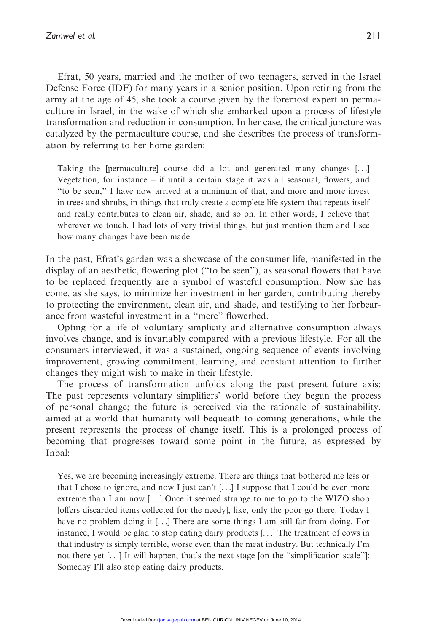Efrat, 50 years, married and the mother of two teenagers, served in the Israel Defense Force (IDF) for many years in a senior position. Upon retiring from the army at the age of 45, she took a course given by the foremost expert in permaculture in Israel, in the wake of which she embarked upon a process of lifestyle transformation and reduction in consumption. In her case, the critical juncture was catalyzed by the permaculture course, and she describes the process of transformation by referring to her home garden:

Taking the [permaculture] course did a lot and generated many changes [...] Vegetation, for instance – if until a certain stage it was all seasonal, flowers, and ''to be seen,'' I have now arrived at a minimum of that, and more and more invest in trees and shrubs, in things that truly create a complete life system that repeats itself and really contributes to clean air, shade, and so on. In other words, I believe that wherever we touch, I had lots of very trivial things, but just mention them and I see how many changes have been made.

In the past, Efrat's garden was a showcase of the consumer life, manifested in the display of an aesthetic, flowering plot (''to be seen''), as seasonal flowers that have to be replaced frequently are a symbol of wasteful consumption. Now she has come, as she says, to minimize her investment in her garden, contributing thereby to protecting the environment, clean air, and shade, and testifying to her forbearance from wasteful investment in a ''mere'' flowerbed.

Opting for a life of voluntary simplicity and alternative consumption always involves change, and is invariably compared with a previous lifestyle. For all the consumers interviewed, it was a sustained, ongoing sequence of events involving improvement, growing commitment, learning, and constant attention to further changes they might wish to make in their lifestyle.

The process of transformation unfolds along the past–present–future axis: The past represents voluntary simplifiers' world before they began the process of personal change; the future is perceived via the rationale of sustainability, aimed at a world that humanity will bequeath to coming generations, while the present represents the process of change itself. This is a prolonged process of becoming that progresses toward some point in the future, as expressed by Inbal:

Yes, we are becoming increasingly extreme. There are things that bothered me less or that I chose to ignore, and now I just can't [...] I suppose that I could be even more extreme than I am now  $[...]$  Once it seemed strange to me to go to the WIZO shop [offers discarded items collected for the needy], like, only the poor go there. Today I have no problem doing it [...] There are some things I am still far from doing. For instance, I would be glad to stop eating dairy products [...] The treatment of cows in that industry is simply terrible, worse even than the meat industry. But technically I'm not there yet [...] It will happen, that's the next stage [on the "simplification scale"]: Someday I'll also stop eating dairy products.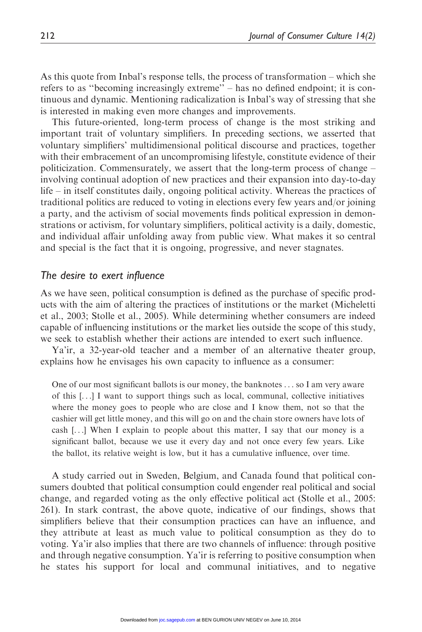As this quote from Inbal's response tells, the process of transformation – which she refers to as ''becoming increasingly extreme'' – has no defined endpoint; it is continuous and dynamic. Mentioning radicalization is Inbal's way of stressing that she is interested in making even more changes and improvements.

This future-oriented, long-term process of change is the most striking and important trait of voluntary simplifiers. In preceding sections, we asserted that voluntary simplifiers' multidimensional political discourse and practices, together with their embracement of an uncompromising lifestyle, constitute evidence of their politicization. Commensurately, we assert that the long-term process of change – involving continual adoption of new practices and their expansion into day-to-day life – in itself constitutes daily, ongoing political activity. Whereas the practices of traditional politics are reduced to voting in elections every few years and/or joining a party, and the activism of social movements finds political expression in demonstrations or activism, for voluntary simplifiers, political activity is a daily, domestic, and individual affair unfolding away from public view. What makes it so central and special is the fact that it is ongoing, progressive, and never stagnates.

#### The desire to exert influence

As we have seen, political consumption is defined as the purchase of specific products with the aim of altering the practices of institutions or the market (Micheletti et al., 2003; Stolle et al., 2005). While determining whether consumers are indeed capable of influencing institutions or the market lies outside the scope of this study, we seek to establish whether their actions are intended to exert such influence.

Ya'ir, a 32-year-old teacher and a member of an alternative theater group, explains how he envisages his own capacity to influence as a consumer:

One of our most significant ballots is our money, the banknotes ... so I am very aware of this [...] I want to support things such as local, communal, collective initiatives where the money goes to people who are close and I know them, not so that the cashier will get little money, and this will go on and the chain store owners have lots of cash [...] When I explain to people about this matter, I say that our money is a significant ballot, because we use it every day and not once every few years. Like the ballot, its relative weight is low, but it has a cumulative influence, over time.

A study carried out in Sweden, Belgium, and Canada found that political consumers doubted that political consumption could engender real political and social change, and regarded voting as the only effective political act (Stolle et al., 2005: 261). In stark contrast, the above quote, indicative of our findings, shows that simplifiers believe that their consumption practices can have an influence, and they attribute at least as much value to political consumption as they do to voting. Ya'ir also implies that there are two channels of influence: through positive and through negative consumption. Ya'ir is referring to positive consumption when he states his support for local and communal initiatives, and to negative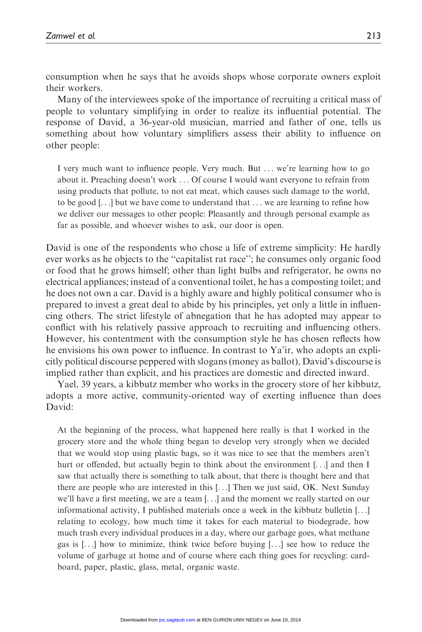consumption when he says that he avoids shops whose corporate owners exploit their workers.

Many of the interviewees spoke of the importance of recruiting a critical mass of people to voluntary simplifying in order to realize its influential potential. The response of David, a 36-year-old musician, married and father of one, tells us something about how voluntary simplifiers assess their ability to influence on other people:

I very much want to influence people. Very much. But ... we're learning how to go about it. Preaching doesn't work ... Of course I would want everyone to refrain from using products that pollute, to not eat meat, which causes such damage to the world, to be good [...] but we have come to understand that ... we are learning to refine how we deliver our messages to other people: Pleasantly and through personal example as far as possible, and whoever wishes to ask, our door is open.

David is one of the respondents who chose a life of extreme simplicity: He hardly ever works as he objects to the ''capitalist rat race''; he consumes only organic food or food that he grows himself; other than light bulbs and refrigerator, he owns no electrical appliances; instead of a conventional toilet, he has a composting toilet; and he does not own a car. David is a highly aware and highly political consumer who is prepared to invest a great deal to abide by his principles, yet only a little in influencing others. The strict lifestyle of abnegation that he has adopted may appear to conflict with his relatively passive approach to recruiting and influencing others. However, his contentment with the consumption style he has chosen reflects how he envisions his own power to influence. In contrast to Ya'ir, who adopts an explicitly political discourse peppered with slogans (money as ballot), David's discourse is implied rather than explicit, and his practices are domestic and directed inward.

Yael, 39 years, a kibbutz member who works in the grocery store of her kibbutz, adopts a more active, community-oriented way of exerting influence than does David:

At the beginning of the process, what happened here really is that I worked in the grocery store and the whole thing began to develop very strongly when we decided that we would stop using plastic bags, so it was nice to see that the members aren't hurt or offended, but actually begin to think about the environment [...] and then I saw that actually there is something to talk about, that there is thought here and that there are people who are interested in this [...] Then we just said, OK. Next Sunday we'll have a first meeting, we are a team [...] and the moment we really started on our informational activity, I published materials once a week in the kibbutz bulletin [...] relating to ecology, how much time it takes for each material to biodegrade, how much trash every individual produces in a day, where our garbage goes, what methane gas is  $[...]$  how to minimize, think twice before buying  $[...]$  see how to reduce the volume of garbage at home and of course where each thing goes for recycling: cardboard, paper, plastic, glass, metal, organic waste.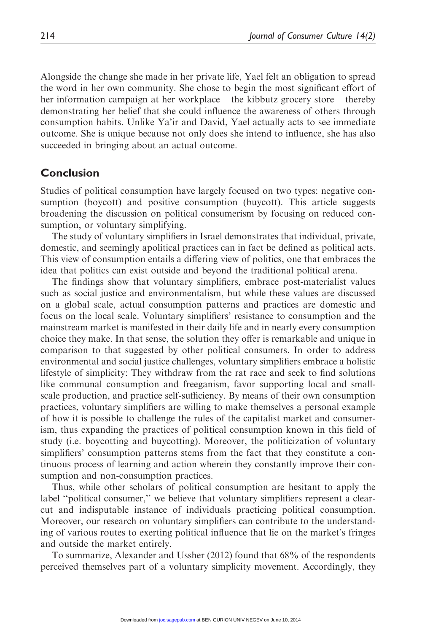Alongside the change she made in her private life, Yael felt an obligation to spread the word in her own community. She chose to begin the most significant effort of her information campaign at her workplace – the kibbutz grocery store – thereby demonstrating her belief that she could influence the awareness of others through consumption habits. Unlike Ya'ir and David, Yael actually acts to see immediate outcome. She is unique because not only does she intend to influence, she has also succeeded in bringing about an actual outcome.

## Conclusion

Studies of political consumption have largely focused on two types: negative consumption (boycott) and positive consumption (buycott). This article suggests broadening the discussion on political consumerism by focusing on reduced consumption, or voluntary simplifying.

The study of voluntary simplifiers in Israel demonstrates that individual, private, domestic, and seemingly apolitical practices can in fact be defined as political acts. This view of consumption entails a differing view of politics, one that embraces the idea that politics can exist outside and beyond the traditional political arena.

The findings show that voluntary simplifiers, embrace post-materialist values such as social justice and environmentalism, but while these values are discussed on a global scale, actual consumption patterns and practices are domestic and focus on the local scale. Voluntary simplifiers' resistance to consumption and the mainstream market is manifested in their daily life and in nearly every consumption choice they make. In that sense, the solution they offer is remarkable and unique in comparison to that suggested by other political consumers. In order to address environmental and social justice challenges, voluntary simplifiers embrace a holistic lifestyle of simplicity: They withdraw from the rat race and seek to find solutions like communal consumption and freeganism, favor supporting local and smallscale production, and practice self-sufficiency. By means of their own consumption practices, voluntary simplifiers are willing to make themselves a personal example of how it is possible to challenge the rules of the capitalist market and consumerism, thus expanding the practices of political consumption known in this field of study (i.e. boycotting and buycotting). Moreover, the politicization of voluntary simplifiers' consumption patterns stems from the fact that they constitute a continuous process of learning and action wherein they constantly improve their consumption and non-consumption practices.

Thus, while other scholars of political consumption are hesitant to apply the label "political consumer," we believe that voluntary simplifiers represent a clearcut and indisputable instance of individuals practicing political consumption. Moreover, our research on voluntary simplifiers can contribute to the understanding of various routes to exerting political influence that lie on the market's fringes and outside the market entirely.

To summarize, Alexander and Ussher (2012) found that 68% of the respondents perceived themselves part of a voluntary simplicity movement. Accordingly, they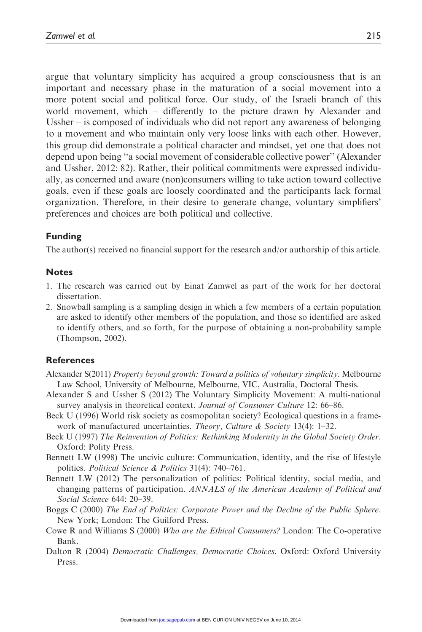argue that voluntary simplicity has acquired a group consciousness that is an important and necessary phase in the maturation of a social movement into a more potent social and political force. Our study, of the Israeli branch of this world movement, which – differently to the picture drawn by Alexander and Ussher – is composed of individuals who did not report any awareness of belonging to a movement and who maintain only very loose links with each other. However, this group did demonstrate a political character and mindset, yet one that does not depend upon being ''a social movement of considerable collective power'' (Alexander and Ussher, 2012: 82). Rather, their political commitments were expressed individually, as concerned and aware (non)consumers willing to take action toward collective goals, even if these goals are loosely coordinated and the participants lack formal organization. Therefore, in their desire to generate change, voluntary simplifiers' preferences and choices are both political and collective.

## Funding

The author(s) received no financial support for the research and/or authorship of this article.

### **Notes**

- 1. The research was carried out by Einat Zamwel as part of the work for her doctoral dissertation.
- 2. Snowball sampling is a sampling design in which a few members of a certain population are asked to identify other members of the population, and those so identified are asked to identify others, and so forth, for the purpose of obtaining a non-probability sample (Thompson, 2002).

## **References**

- Alexander S(2011) Property beyond growth: Toward a politics of voluntary simplicity. Melbourne Law School, University of Melbourne, Melbourne, VIC, Australia, Doctoral Thesis.
- Alexander S and Ussher S (2012) The Voluntary Simplicity Movement: A multi-national survey analysis in theoretical context. Journal of Consumer Culture 12: 66–86.
- Beck U (1996) World risk society as cosmopolitan society? Ecological questions in a framework of manufactured uncertainties. Theory, Culture & Society 13(4):  $1-32$ .
- Beck U (1997) The Reinvention of Politics: Rethinking Modernity in the Global Society Order. Oxford: Polity Press.
- Bennett LW (1998) The uncivic culture: Communication, identity, and the rise of lifestyle politics. Political Science & Politics 31(4): 740–761.
- Bennett LW (2012) The personalization of politics: Political identity, social media, and changing patterns of participation. ANNALS of the American Academy of Political and Social Science 644: 20–39.
- Boggs C (2000) The End of Politics: Corporate Power and the Decline of the Public Sphere. New York; London: The Guilford Press.
- Cowe R and Williams S (2000) Who are the Ethical Consumers? London: The Co-operative Bank.
- Dalton R (2004) Democratic Challenges, Democratic Choices. Oxford: Oxford University Press.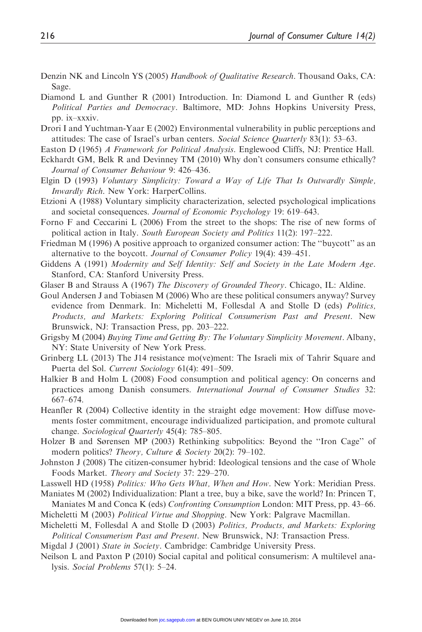- Denzin NK and Lincoln YS (2005) Handbook of Qualitative Research. Thousand Oaks, CA: Sage.
- Diamond L and Gunther R (2001) Introduction. In: Diamond L and Gunther R (eds) Political Parties and Democracy. Baltimore, MD: Johns Hopkins University Press, pp. ix–xxxiv.
- Drori I and Yuchtman-Yaar E (2002) Environmental vulnerability in public perceptions and attitudes: The case of Israel's urban centers. Social Science Quarterly 83(1): 53–63.
- Easton D (1965) A Framework for Political Analysis. Englewood Cliffs, NJ: Prentice Hall.
- Eckhardt GM, Belk R and Devinney TM (2010) Why don't consumers consume ethically? Journal of Consumer Behaviour 9: 426–436.
- Elgin D (1993) Voluntary Simplicity: Toward a Way of Life That Is Outwardly Simple, Inwardly Rich. New York: HarperCollins.
- Etzioni A (1988) Voluntary simplicity characterization, selected psychological implications and societal consequences. Journal of Economic Psychology 19: 619–643.
- Forno F and Ceccarini L (2006) From the street to the shops: The rise of new forms of political action in Italy. South European Society and Politics 11(2): 197–222.
- Friedman M (1996) A positive approach to organized consumer action: The ''buycott'' as an alternative to the boycott. Journal of Consumer Policy 19(4): 439–451.
- Giddens A (1991) Modernity and Self Identity: Self and Society in the Late Modern Age. Stanford, CA: Stanford University Press.
- Glaser B and Strauss A (1967) The Discovery of Grounded Theory. Chicago, IL: Aldine.
- Goul Andersen J and Tobiasen M (2006) Who are these political consumers anyway? Survey evidence from Denmark. In: Micheletti M, Follesdal A and Stolle D (eds) Politics, Products, and Markets: Exploring Political Consumerism Past and Present. New Brunswick, NJ: Transaction Press, pp. 203–222.
- Grigsby M (2004) Buying Time and Getting By: The Voluntary Simplicity Movement. Albany, NY: State University of New York Press.
- Grinberg LL (2013) The J14 resistance mo(ve)ment: The Israeli mix of Tahrir Square and Puerta del Sol. Current Sociology 61(4): 491–509.
- Halkier B and Holm L (2008) Food consumption and political agency: On concerns and practices among Danish consumers. International Journal of Consumer Studies 32: 667–674.
- Heanfler R (2004) Collective identity in the straight edge movement: How diffuse movements foster commitment, encourage individualized participation, and promote cultural change. Sociological Quarterly 45(4): 785–805.
- Holzer B and Sørensen MP (2003) Rethinking subpolitics: Beyond the ''Iron Cage'' of modern politics? *Theory, Culture & Society* 20(2): 79–102.
- Johnston J (2008) The citizen-consumer hybrid: Ideological tensions and the case of Whole Foods Market. Theory and Society 37: 229–270.
- Lasswell HD (1958) Politics: Who Gets What, When and How. New York: Meridian Press.
- Maniates M (2002) Individualization: Plant a tree, buy a bike, save the world? In: Princen T, Maniates M and Conca K (eds) *Confronting Consumption* London: MIT Press, pp. 43–66.
- Micheletti M (2003) *Political Virtue and Shopping*. New York: Palgrave Macmillan.
- Micheletti M, Follesdal A and Stolle D (2003) Politics, Products, and Markets: Exploring Political Consumerism Past and Present. New Brunswick, NJ: Transaction Press.
- Migdal J (2001) State in Society. Cambridge: Cambridge University Press.
- Neilson L and Paxton P (2010) Social capital and political consumerism: A multilevel analysis. Social Problems 57(1): 5–24.